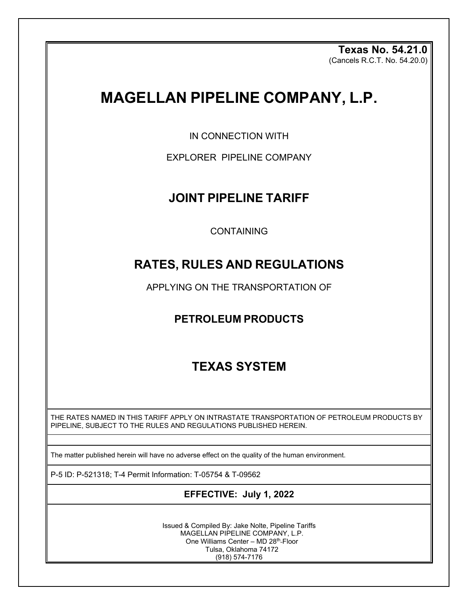**Texas No. 54.21.0** (Cancels R.C.T. No. 54.20.0)

# **MAGELLAN PIPELINE COMPANY, L.P.**

IN CONNECTION WITH

EXPLORER PIPELINE COMPANY

## **JOINT PIPELINE TARIFF**

CONTAINING

# **RATES, RULES AND REGULATIONS**

APPLYING ON THE TRANSPORTATION OF

## **PETROLEUM PRODUCTS**

# **TEXAS SYSTEM**

THE RATES NAMED IN THIS TARIFF APPLY ON INTRASTATE TRANSPORTATION OF PETROLEUM PRODUCTS BY PIPELINE, SUBJECT TO THE RULES AND REGULATIONS PUBLISHED HEREIN.

The matter published herein will have no adverse effect on the quality of the human environment.

P-5 ID: P-521318; T-4 Permit Information: T-05754 & T-09562

## **EFFECTIVE: July 1, 2022**

Issued & Compiled By: Jake Nolte, Pipeline Tariffs MAGELLAN PIPELINE COMPANY, L.P. One Williams Center - MD 28<sup>th</sup>-Floor Tulsa, Oklahoma 74172 (918) 574-7176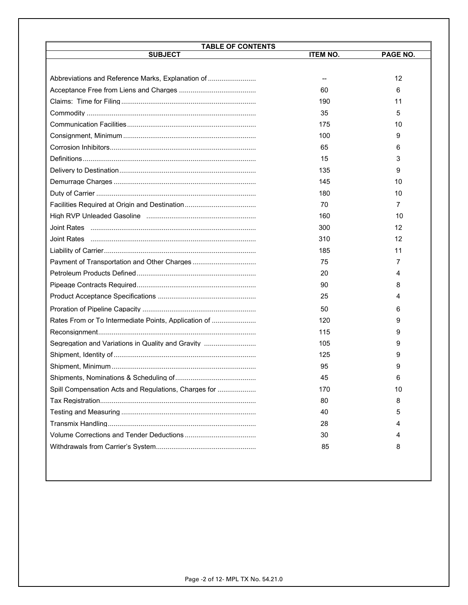| <b>TABLE OF CONTENTS</b>                             |                 |          |  |  |
|------------------------------------------------------|-----------------|----------|--|--|
| <b>SUBJECT</b>                                       | <b>ITEM NO.</b> | PAGE NO. |  |  |
|                                                      |                 |          |  |  |
| Abbreviations and Reference Marks, Explanation of    |                 | 12       |  |  |
|                                                      | 60              | 6        |  |  |
|                                                      | 190             | 11       |  |  |
|                                                      | 35              | 5        |  |  |
|                                                      | 175             | 10       |  |  |
|                                                      | 100             | 9        |  |  |
|                                                      | 65              | 6        |  |  |
|                                                      | 15              | 3        |  |  |
|                                                      | 135             | 9        |  |  |
|                                                      | 145             | 10       |  |  |
|                                                      | 180             | 10       |  |  |
|                                                      | 70              | 7        |  |  |
|                                                      | 160             | 10       |  |  |
|                                                      | 300             | 12       |  |  |
|                                                      | 310             | 12       |  |  |
|                                                      | 185             | 11       |  |  |
|                                                      | 75              | 7        |  |  |
|                                                      | 20              | 4        |  |  |
|                                                      | 90              | 8        |  |  |
|                                                      | 25              | 4        |  |  |
|                                                      | 50              | 6        |  |  |
| Rates From or To Intermediate Points, Application of | 120             | 9        |  |  |
|                                                      | 115             | 9        |  |  |
| Segregation and Variations in Quality and Gravity    | 105             | 9        |  |  |
|                                                      | 125             | 9        |  |  |
|                                                      | 95              | 9        |  |  |
|                                                      | 45              |          |  |  |
| Spill Compensation Acts and Regulations, Charges for | 170             | 10       |  |  |
|                                                      | 80              | 8        |  |  |
|                                                      | 40              | 5        |  |  |
|                                                      | 28              | 4        |  |  |
|                                                      | 30              | 4        |  |  |
|                                                      | 85              | 8        |  |  |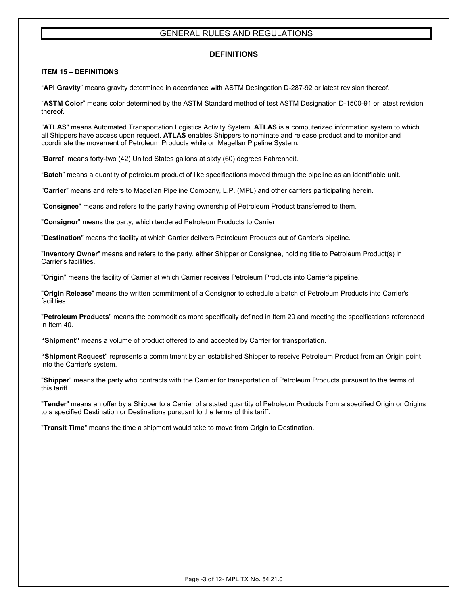## **DEFINITIONS**

## **ITEM 15 – DEFINITIONS**

"**API Gravity**" means gravity determined in accordance with ASTM Desingation D-287-92 or latest revision thereof.

"**ASTM Color**" means color determined by the ASTM Standard method of test ASTM Designation D-1500-91 or latest revision thereof.

"**ATLAS**" means Automated Transportation Logistics Activity System. **ATLAS** is a computerized information system to which all Shippers have access upon request. **ATLAS** enables Shippers to nominate and release product and to monitor and coordinate the movement of Petroleum Products while on Magellan Pipeline System.

"**Barre**l" means forty-two (42) United States gallons at sixty (60) degrees Fahrenheit.

"**Batch**" means a quantity of petroleum product of like specifications moved through the pipeline as an identifiable unit.

"**Carrier**" means and refers to Magellan Pipeline Company, L.P. (MPL) and other carriers participating herein.

"**Consignee**" means and refers to the party having ownership of Petroleum Product transferred to them.

"**Consignor**" means the party, which tendered Petroleum Products to Carrier.

"**Destination**" means the facility at which Carrier delivers Petroleum Products out of Carrier's pipeline.

"**Inventory Owner**" means and refers to the party, either Shipper or Consignee, holding title to Petroleum Product(s) in Carrier's facilities.

"**Origin**" means the facility of Carrier at which Carrier receives Petroleum Products into Carrier's pipeline.

"**Origin Release**" means the written commitment of a Consignor to schedule a batch of Petroleum Products into Carrier's facilities.

"**Petroleum Products**" means the commodities more specifically defined in Item 20 and meeting the specifications referenced in Item 40.

**"Shipment"** means a volume of product offered to and accepted by Carrier for transportation.

**"Shipment Request**" represents a commitment by an established Shipper to receive Petroleum Product from an Origin point into the Carrier's system.

"**Shipper**" means the party who contracts with the Carrier for transportation of Petroleum Products pursuant to the terms of this tariff.

"**Tender**" means an offer by a Shipper to a Carrier of a stated quantity of Petroleum Products from a specified Origin or Origins to a specified Destination or Destinations pursuant to the terms of this tariff.

"**Transit Time**" means the time a shipment would take to move from Origin to Destination.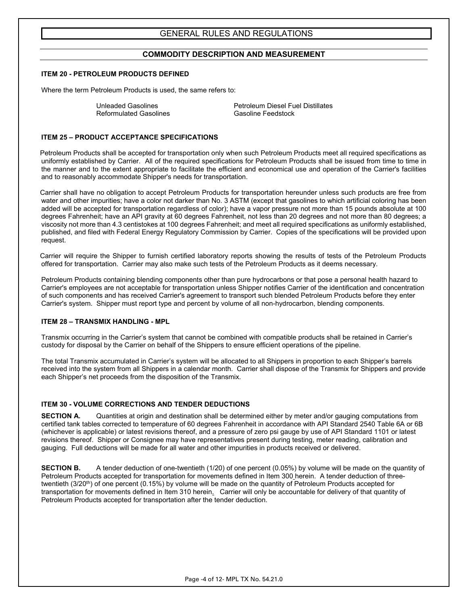## **COMMODITY DESCRIPTION AND MEASUREMENT**

## **ITEM 20 - PETROLEUM PRODUCTS DEFINED**

Where the term Petroleum Products is used, the same refers to:

Reformulated Gasolines

Unleaded Gasolines<br>
Reformulated Gasolines<br>
Gasoline Feedstock

## **ITEM 25 – PRODUCT ACCEPTANCE SPECIFICATIONS**

Petroleum Products shall be accepted for transportation only when such Petroleum Products meet all required specifications as uniformly established by Carrier. All of the required specifications for Petroleum Products shall be issued from time to time in the manner and to the extent appropriate to facilitate the efficient and economical use and operation of the Carrier's facilities and to reasonably accommodate Shipper's needs for transportation.

Carrier shall have no obligation to accept Petroleum Products for transportation hereunder unless such products are free from water and other impurities; have a color not darker than No. 3 ASTM (except that gasolines to which artificial coloring has been added will be accepted for transportation regardless of color); have a vapor pressure not more than 15 pounds absolute at 100 degrees Fahrenheit; have an API gravity at 60 degrees Fahrenheit, not less than 20 degrees and not more than 80 degrees; a viscosity not more than 4.3 centistokes at 100 degrees Fahrenheit; and meet all required specifications as uniformly established, published, and filed with Federal Energy Regulatory Commission by Carrier. Copies of the specifications will be provided upon request.

Carrier will require the Shipper to furnish certified laboratory reports showing the results of tests of the Petroleum Products offered for transportation. Carrier may also make such tests of the Petroleum Products as it deems necessary.

Petroleum Products containing blending components other than pure hydrocarbons or that pose a personal health hazard to Carrier's employees are not acceptable for transportation unless Shipper notifies Carrier of the identification and concentration of such components and has received Carrier's agreement to transport such blended Petroleum Products before they enter Carrier's system. Shipper must report type and percent by volume of all non-hydrocarbon, blending components.

## **ITEM 28 – TRANSMIX HANDLING - MPL**

Transmix occurring in the Carrier's system that cannot be combined with compatible products shall be retained in Carrier's custody for disposal by the Carrier on behalf of the Shippers to ensure efficient operations of the pipeline.

The total Transmix accumulated in Carrier's system will be allocated to all Shippers in proportion to each Shipper's barrels received into the system from all Shippers in a calendar month. Carrier shall dispose of the Transmix for Shippers and provide each Shipper's net proceeds from the disposition of the Transmix.

## **ITEM 30 - VOLUME CORRECTIONS AND TENDER DEDUCTIONS**

**SECTION A.** Quantities at origin and destination shall be determined either by meter and/or gauging computations from certified tank tables corrected to temperature of 60 degrees Fahrenheit in accordance with API Standard 2540 Table 6A or 6B (whichever is applicable) or latest revisions thereof, and a pressure of zero psi gauge by use of API Standard 1101 or latest revisions thereof. Shipper or Consignee may have representatives present during testing, meter reading, calibration and gauging. Full deductions will be made for all water and other impurities in products received or delivered.

**SECTION B.** A tender deduction of one-twentieth (1/20) of one percent (0.05%) by volume will be made on the quantity of Petroleum Products accepted for transportation for movements defined in Item 300 herein. A tender deduction of threetwentieth (3/20<sup>th</sup>) of one percent (0.15%) by volume will be made on the quantity of Petroleum Products accepted for transportation for movements defined in Item 310 herein. Carrier will only be accountable for delivery of that quantity of Petroleum Products accepted for transportation after the tender deduction.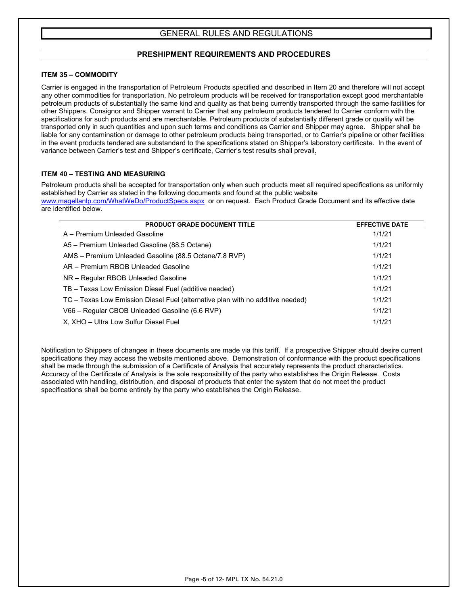## **PRESHIPMENT REQUIREMENTS AND PROCEDURES**

## **ITEM 35 – COMMODITY**

Carrier is engaged in the transportation of Petroleum Products specified and described in Item 20 and therefore will not accept any other commodities for transportation. No petroleum products will be received for transportation except good merchantable petroleum products of substantially the same kind and quality as that being currently transported through the same facilities for other Shippers. Consignor and Shipper warrant to Carrier that any petroleum products tendered to Carrier conform with the specifications for such products and are merchantable. Petroleum products of substantially different grade or quality will be transported only in such quantities and upon such terms and conditions as Carrier and Shipper may agree. Shipper shall be liable for any contamination or damage to other petroleum products being transported, or to Carrier's pipeline or other facilities in the event products tendered are substandard to the specifications stated on Shipper's laboratory certificate. In the event of variance between Carrier's test and Shipper's certificate, Carrier's test results shall prevail.

## **ITEM 40 – TESTING AND MEASURING**

Petroleum products shall be accepted for transportation only when such products meet all required specifications as uniformly established by Carrier as stated in the following documents and found at the public website

[www.magellanlp.com/WhatWeDo/ProductSpecs.aspx](http://www.magellanlp.com/WhatWeDo/ProductSpecs.aspx) or on request. Each Product Grade Document and its effective date are identified below.

| <b>PRODUCT GRADE DOCUMENT TITLE</b>                                            | <b>EFFECTIVE DATE</b> |
|--------------------------------------------------------------------------------|-----------------------|
| A – Premium Unleaded Gasoline                                                  | 1/1/21                |
| A5 – Premium Unleaded Gasoline (88.5 Octane)                                   | 1/1/21                |
| AMS - Premium Unleaded Gasoline (88.5 Octane/7.8 RVP)                          | 1/1/21                |
| AR - Premium RBOB Unleaded Gasoline                                            | 1/1/21                |
| NR - Regular RBOB Unleaded Gasoline                                            | 1/1/21                |
| TB - Texas Low Emission Diesel Fuel (additive needed)                          | 1/1/21                |
| TC - Texas Low Emission Diesel Fuel (alternative plan with no additive needed) | 1/1/21                |
| V66 - Regular CBOB Unleaded Gasoline (6.6 RVP)                                 | 1/1/21                |
| X, XHO - Ultra Low Sulfur Diesel Fuel                                          | 1/1/21                |

Notification to Shippers of changes in these documents are made via this tariff. If a prospective Shipper should desire current specifications they may access the website mentioned above. Demonstration of conformance with the product specifications shall be made through the submission of a Certificate of Analysis that accurately represents the product characteristics. Accuracy of the Certificate of Analysis is the sole responsibility of the party who establishes the Origin Release. Costs associated with handling, distribution, and disposal of products that enter the system that do not meet the product specifications shall be borne entirely by the party who establishes the Origin Release.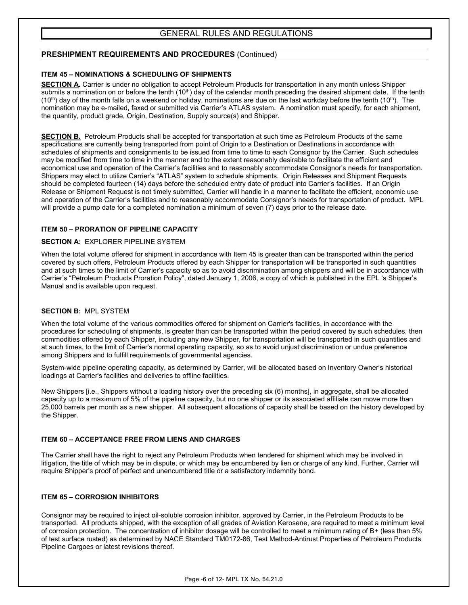## **PRESHIPMENT REQUIREMENTS AND PROCEDURES** (Continued)

## **ITEM 45 – NOMINATIONS & SCHEDULING OF SHIPMENTS**

**SECTION A.** Carrier is under no obligation to accept Petroleum Products for transportation in any month unless Shipper submits a nomination on or before the tenth  $(10<sup>th</sup>)$  day of the calendar month preceding the desired shipment date. If the tenth  $(10<sup>th</sup>)$  day of the month falls on a weekend or holiday, nominations are due on the last workday before the tenth  $(10<sup>th</sup>)$ . The nomination may be e-mailed, faxed or submitted via Carrier's ATLAS system. A nomination must specify, for each shipment, the quantity, product grade, Origin, Destination, Supply source(s) and Shipper.

**SECTION B.** Petroleum Products shall be accepted for transportation at such time as Petroleum Products of the same specifications are currently being transported from point of Origin to a Destination or Destinations in accordance with schedules of shipments and consignments to be issued from time to time to each Consignor by the Carrier. Such schedules may be modified from time to time in the manner and to the extent reasonably desirable to facilitate the efficient and economical use and operation of the Carrier's facilities and to reasonably accommodate Consignor's needs for transportation. Shippers may elect to utilize Carrier's "ATLAS" system to schedule shipments. Origin Releases and Shipment Requests should be completed fourteen (14) days before the scheduled entry date of product into Carrier's facilities. If an Origin Release or Shipment Request is not timely submitted, Carrier will handle in a manner to facilitate the efficient, economic use and operation of the Carrier's facilities and to reasonably accommodate Consignor's needs for transportation of product. MPL will provide a pump date for a completed nomination a minimum of seven (7) days prior to the release date.

## **ITEM 50 – PRORATION OF PIPELINE CAPACITY**

## **SECTION A:** EXPLORER PIPELINE SYSTEM

When the total volume offered for shipment in accordance with Item 45 is greater than can be transported within the period covered by such offers, Petroleum Products offered by each Shipper for transportation will be transported in such quantities and at such times to the limit of Carrier's capacity so as to avoid discrimination among shippers and will be in accordance with Carrier's "Petroleum Products Proration Policy", dated January 1, 2006, a copy of which is published in the EPL 's Shipper's Manual and is available upon request.

## **SECTION B:** MPL SYSTEM

When the total volume of the various commodities offered for shipment on Carrier's facilities, in accordance with the procedures for scheduling of shipments, is greater than can be transported within the period covered by such schedules, then commodities offered by each Shipper, including any new Shipper, for transportation will be transported in such quantities and at such times, to the limit of Carrier's normal operating capacity, so as to avoid unjust discrimination or undue preference among Shippers and to fulfill requirements of governmental agencies.

System-wide pipeline operating capacity, as determined by Carrier, will be allocated based on Inventory Owner's historical loadings at Carrier's facilities and deliveries to offline facilities.

New Shippers [i.e., Shippers without a loading history over the preceding six (6) months], in aggregate, shall be allocated capacity up to a maximum of 5% of the pipeline capacity, but no one shipper or its associated affiliate can move more than 25,000 barrels per month as a new shipper. All subsequent allocations of capacity shall be based on the history developed by the Shipper.

## **ITEM 60 – ACCEPTANCE FREE FROM LIENS AND CHARGES**

The Carrier shall have the right to reject any Petroleum Products when tendered for shipment which may be involved in litigation, the title of which may be in dispute, or which may be encumbered by lien or charge of any kind. Further, Carrier will require Shipper's proof of perfect and unencumbered title or a satisfactory indemnity bond.

## **ITEM 65 – CORROSION INHIBITORS**

Consignor may be required to inject oil-soluble corrosion inhibitor, approved by Carrier, in the Petroleum Products to be transported. All products shipped, with the exception of all grades of Aviation Kerosene, are required to meet a minimum level of corrosion protection. The concentration of inhibitor dosage will be controlled to meet a minimum rating of B+ (less than 5% of test surface rusted) as determined by NACE Standard TM0172-86, Test Method-Antirust Properties of Petroleum Products Pipeline Cargoes or latest revisions thereof.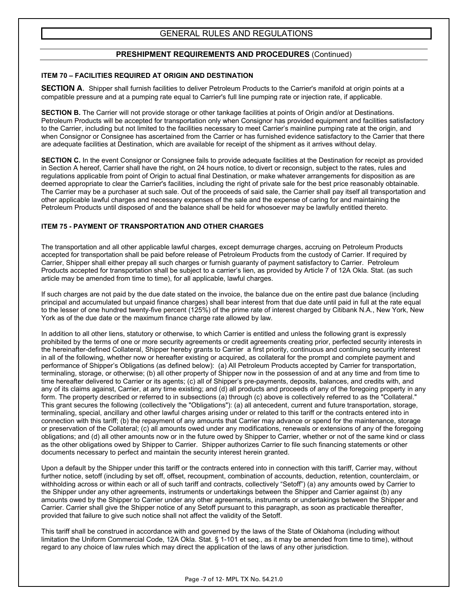## **PRESHIPMENT REQUIREMENTS AND PROCEDURES** (Continued)

## **ITEM 70 – FACILITIES REQUIRED AT ORIGIN AND DESTINATION**

**SECTION A**. Shipper shall furnish facilities to deliver Petroleum Products to the Carrier's manifold at origin points at a compatible pressure and at a pumping rate equal to Carrier's full line pumping rate or injection rate, if applicable.

**SECTION B.** The Carrier will not provide storage or other tankage facilities at points of Origin and/or at Destinations. Petroleum Products will be accepted for transportation only when Consignor has provided equipment and facilities satisfactory to the Carrier, including but not limited to the facilities necessary to meet Carrier's mainline pumping rate at the origin, and when Consignor or Consignee has ascertained from the Carrier or has furnished evidence satisfactory to the Carrier that there are adequate facilities at Destination, which are available for receipt of the shipment as it arrives without delay.

**SECTION C.** In the event Consignor or Consignee fails to provide adequate facilities at the Destination for receipt as provided in Section A hereof, Carrier shall have the right, on 24 hours notice, to divert or reconsign, subject to the rates, rules and regulations applicable from point of Origin to actual final Destination, or make whatever arrangements for disposition as are deemed appropriate to clear the Carrier's facilities, including the right of private sale for the best price reasonably obtainable. The Carrier may be a purchaser at such sale. Out of the proceeds of said sale, the Carrier shall pay itself all transportation and other applicable lawful charges and necessary expenses of the sale and the expense of caring for and maintaining the Petroleum Products until disposed of and the balance shall be held for whosoever may be lawfully entitled thereto.

## **ITEM 75 - PAYMENT OF TRANSPORTATION AND OTHER CHARGES**

The transportation and all other applicable lawful charges, except demurrage charges, accruing on Petroleum Products accepted for transportation shall be paid before release of Petroleum Products from the custody of Carrier. If required by Carrier, Shipper shall either prepay all such charges or furnish guaranty of payment satisfactory to Carrier. Petroleum Products accepted for transportation shall be subject to a carrier's lien, as provided by Article 7 of 12A Okla. Stat. (as such article may be amended from time to time), for all applicable, lawful charges.

If such charges are not paid by the due date stated on the invoice, the balance due on the entire past due balance (including principal and accumulated but unpaid finance charges) shall bear interest from that due date until paid in full at the rate equal to the lesser of one hundred twenty-five percent (125%) of the prime rate of interest charged by Citibank N.A., New York, New York as of the due date or the maximum finance charge rate allowed by law.

In addition to all other liens, statutory or otherwise, to which Carrier is entitled and unless the following grant is expressly prohibited by the terms of one or more security agreements or credit agreements creating prior, perfected security interests in the hereinafter-defined Collateral, Shipper hereby grants to Carrier a first priority, continuous and continuing security interest in all of the following, whether now or hereafter existing or acquired, as collateral for the prompt and complete payment and performance of Shipper's Obligations (as defined below): (a) All Petroleum Products accepted by Carrier for transportation, terminaling, storage, or otherwise; (b) all other property of Shipper now in the possession of and at any time and from time to time hereafter delivered to Carrier or its agents; (c) all of Shipper's pre-payments, deposits, balances, and credits with, and any of its claims against, Carrier, at any time existing; and (d) all products and proceeds of any of the foregoing property in any form. The property described or referred to in subsections (a) through (c) above is collectively referred to as the "Collateral." This grant secures the following (collectively the "Obligations"): (a) all antecedent, current and future transportation, storage, terminaling, special, ancillary and other lawful charges arising under or related to this tariff or the contracts entered into in connection with this tariff; (b) the repayment of any amounts that Carrier may advance or spend for the maintenance, storage or preservation of the Collateral; (c) all amounts owed under any modifications, renewals or extensions of any of the foregoing obligations; and (d) all other amounts now or in the future owed by Shipper to Carrier, whether or not of the same kind or class as the other obligations owed by Shipper to Carrier. Shipper authorizes Carrier to file such financing statements or other documents necessary to perfect and maintain the security interest herein granted.

Upon a default by the Shipper under this tariff or the contracts entered into in connection with this tariff, Carrier may, without further notice, setoff (including by set off, offset, recoupment, combination of accounts, deduction, retention, counterclaim, or withholding across or within each or all of such tariff and contracts, collectively "Setoff") (a) any amounts owed by Carrier to the Shipper under any other agreements, instruments or undertakings between the Shipper and Carrier against (b) any amounts owed by the Shipper to Carrier under any other agreements, instruments or undertakings between the Shipper and Carrier. Carrier shall give the Shipper notice of any Setoff pursuant to this paragraph, as soon as practicable thereafter, provided that failure to give such notice shall not affect the validity of the Setoff.

This tariff shall be construed in accordance with and governed by the laws of the State of Oklahoma (including without limitation the Uniform Commercial Code, 12A Okla. Stat. § 1-101 et seq., as it may be amended from time to time), without regard to any choice of law rules which may direct the application of the laws of any other jurisdiction.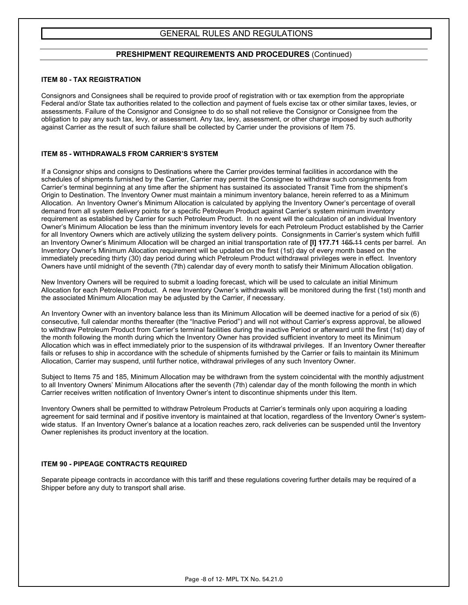## **PRESHIPMENT REQUIREMENTS AND PROCEDURES** (Continued)

#### **ITEM 80 - TAX REGISTRATION**

Consignors and Consignees shall be required to provide proof of registration with or tax exemption from the appropriate Federal and/or State tax authorities related to the collection and payment of fuels excise tax or other similar taxes, levies, or assessments. Failure of the Consignor and Consignee to do so shall not relieve the Consignor or Consignee from the obligation to pay any such tax, levy, or assessment. Any tax, levy, assessment, or other charge imposed by such authority against Carrier as the result of such failure shall be collected by Carrier under the provisions of Item 75.

#### **ITEM 85 - WITHDRAWALS FROM CARRIER'S SYSTEM**

If a Consignor ships and consigns to Destinations where the Carrier provides terminal facilities in accordance with the schedules of shipments furnished by the Carrier, Carrier may permit the Consignee to withdraw such consignments from Carrier's terminal beginning at any time after the shipment has sustained its associated Transit Time from the shipment's Origin to Destination. The Inventory Owner must maintain a minimum inventory balance, herein referred to as a Minimum Allocation. An Inventory Owner's Minimum Allocation is calculated by applying the Inventory Owner's percentage of overall demand from all system delivery points for a specific Petroleum Product against Carrier's system minimum inventory requirement as established by Carrier for such Petroleum Product. In no event will the calculation of an individual Inventory Owner's Minimum Allocation be less than the minimum inventory levels for each Petroleum Product established by the Carrier for all Inventory Owners which are actively utilizing the system delivery points. Consignments in Carrier's system which fulfill an Inventory Owner's Minimum Allocation will be charged an initial transportation rate of **[I] 177.71** 165.11 cents per barrel. An Inventory Owner's Minimum Allocation requirement will be updated on the first (1st) day of every month based on the immediately preceding thirty (30) day period during which Petroleum Product withdrawal privileges were in effect. Inventory Owners have until midnight of the seventh (7th) calendar day of every month to satisfy their Minimum Allocation obligation.

New Inventory Owners will be required to submit a loading forecast, which will be used to calculate an initial Minimum Allocation for each Petroleum Product. A new Inventory Owner's withdrawals will be monitored during the first (1st) month and the associated Minimum Allocation may be adjusted by the Carrier, if necessary.

An Inventory Owner with an inventory balance less than its Minimum Allocation will be deemed inactive for a period of six (6) consecutive, full calendar months thereafter (the "Inactive Period") and will not without Carrier's express approval, be allowed to withdraw Petroleum Product from Carrier's terminal facilities during the inactive Period or afterward until the first (1st) day of the month following the month during which the Inventory Owner has provided sufficient inventory to meet its Minimum Allocation which was in effect immediately prior to the suspension of its withdrawal privileges. If an Inventory Owner thereafter fails or refuses to ship in accordance with the schedule of shipments furnished by the Carrier or fails to maintain its Minimum Allocation, Carrier may suspend, until further notice, withdrawal privileges of any such Inventory Owner.

Subject to Items 75 and 185, Minimum Allocation may be withdrawn from the system coincidental with the monthly adjustment to all Inventory Owners' Minimum Allocations after the seventh (7th) calendar day of the month following the month in which Carrier receives written notification of Inventory Owner's intent to discontinue shipments under this Item.

Inventory Owners shall be permitted to withdraw Petroleum Products at Carrier's terminals only upon acquiring a loading agreement for said terminal and if positive inventory is maintained at that location, regardless of the Inventory Owner's systemwide status. If an Inventory Owner's balance at a location reaches zero, rack deliveries can be suspended until the Inventory Owner replenishes its product inventory at the location.

#### **ITEM 90 - PIPEAGE CONTRACTS REQUIRED**

Separate pipeage contracts in accordance with this tariff and these regulations covering further details may be required of a Shipper before any duty to transport shall arise.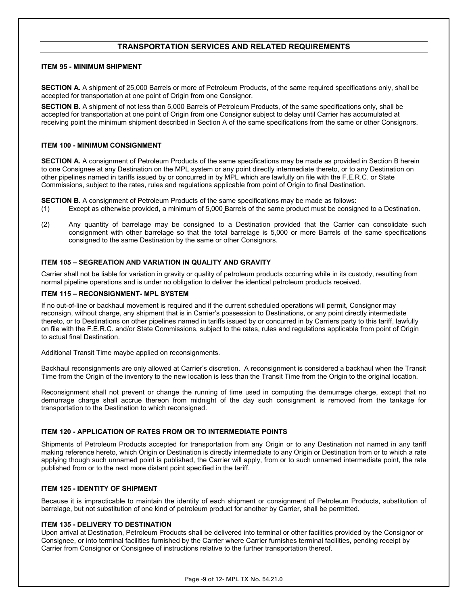## **TRANSPORTATION SERVICES AND RELATED REQUIREMENTS**

## **ITEM 95 - MINIMUM SHIPMENT**

**SECTION A.** A shipment of 25,000 Barrels or more of Petroleum Products, of the same required specifications only, shall be accepted for transportation at one point of Origin from one Consignor.

**SECTION B.** A shipment of not less than 5,000 Barrels of Petroleum Products, of the same specifications only, shall be accepted for transportation at one point of Origin from one Consignor subject to delay until Carrier has accumulated at receiving point the minimum shipment described in Section A of the same specifications from the same or other Consignors.

## **ITEM 100 - MINIMUM CONSIGNMENT**

**SECTION A.** A consignment of Petroleum Products of the same specifications may be made as provided in Section B herein to one Consignee at any Destination on the MPL system or any point directly intermediate thereto, or to any Destination on other pipelines named in tariffs issued by or concurred in by MPL which are lawfully on file with the F.E.R.C. or State Commissions, subject to the rates, rules and regulations applicable from point of Origin to final Destination.

**SECTION B.** A consignment of Petroleum Products of the same specifications may be made as follows:

- (1) Except as otherwise provided, a minimum of 5,000 Barrels of the same product must be consigned to a Destination.
- (2) Any quantity of barrelage may be consigned to a Destination provided that the Carrier can consolidate such consignment with other barrelage so that the total barrelage is 5,000 or more Barrels of the same specifications consigned to the same Destination by the same or other Consignors.

## **ITEM 105 – SEGREATION AND VARIATION IN QUALITY AND GRAVITY**

Carrier shall not be liable for variation in gravity or quality of petroleum products occurring while in its custody, resulting from normal pipeline operations and is under no obligation to deliver the identical petroleum products received.

#### **ITEM 115 – RECONSIGNMENT- MPL SYSTEM**

If no out-of-line or backhaul movement is required and if the current scheduled operations will permit, Consignor may reconsign, without charge, any shipment that is in Carrier's possession to Destinations, or any point directly intermediate thereto, or to Destinations on other pipelines named in tariffs issued by or concurred in by Carriers party to this tariff, lawfully on file with the F.E.R.C. and/or State Commissions, subject to the rates, rules and regulations applicable from point of Origin to actual final Destination.

Additional Transit Time maybe applied on reconsignments.

Backhaul reconsignments are only allowed at Carrier's discretion. A reconsignment is considered a backhaul when the Transit Time from the Origin of the inventory to the new location is less than the Transit Time from the Origin to the original location.

Reconsignment shall not prevent or change the running of time used in computing the demurrage charge, except that no demurrage charge shall accrue thereon from midnight of the day such consignment is removed from the tankage for transportation to the Destination to which reconsigned.

## **ITEM 120 - APPLICATION OF RATES FROM OR TO INTERMEDIATE POINTS**

Shipments of Petroleum Products accepted for transportation from any Origin or to any Destination not named in any tariff making reference hereto, which Origin or Destination is directly intermediate to any Origin or Destination from or to which a rate applying though such unnamed point is published, the Carrier will apply, from or to such unnamed intermediate point, the rate published from or to the next more distant point specified in the tariff.

## **ITEM 125 - IDENTITY OF SHIPMENT**

Because it is impracticable to maintain the identity of each shipment or consignment of Petroleum Products, substitution of barrelage, but not substitution of one kind of petroleum product for another by Carrier, shall be permitted.

## **ITEM 135 - DELIVERY TO DESTINATION**

Upon arrival at Destination, Petroleum Products shall be delivered into terminal or other facilities provided by the Consignor or Consignee, or into terminal facilities furnished by the Carrier where Carrier furnishes terminal facilities, pending receipt by Carrier from Consignor or Consignee of instructions relative to the further transportation thereof.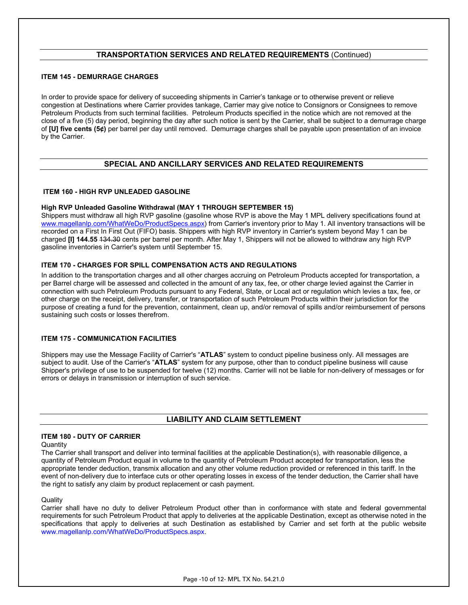## **TRANSPORTATION SERVICES AND RELATED REQUIREMENTS** (Continued)

## **ITEM 145 - DEMURRAGE CHARGES**

In order to provide space for delivery of succeeding shipments in Carrier's tankage or to otherwise prevent or relieve congestion at Destinations where Carrier provides tankage, Carrier may give notice to Consignors or Consignees to remove Petroleum Products from such terminal facilities. Petroleum Products specified in the notice which are not removed at the close of a five (5) day period, beginning the day after such notice is sent by the Carrier, shall be subject to a demurrage charge of **[U] five cents (5¢)** per barrel per day until removed. Demurrage charges shall be payable upon presentation of an invoice by the Carrier.

## **SPECIAL AND ANCILLARY SERVICES AND RELATED REQUIREMENTS**

## **ITEM 160 - HIGH RVP UNLEADED GASOLINE**

## **High RVP Unleaded Gasoline Withdrawal (MAY 1 THROUGH SEPTEMBER 15)**

Shippers must withdraw all high RVP gasoline (gasoline whose RVP is above the May 1 MPL delivery specifications found at [www.magellanlp.com/WhatWeDo/ProductSpecs.aspx\)](http://www.magellanlp.com/WhatWeDo/ProductSpecs.aspx) from Carrier's inventory prior to May 1. All inventory transactions will be recorded on a First In First Out (FIFO) basis. Shippers with high RVP inventory in Carrier's system beyond May 1 can be charged **[I] 144.55** 134.30 cents per barrel per month. After May 1, Shippers will not be allowed to withdraw any high RVP gasoline inventories in Carrier's system until September 15.

## **ITEM 170 - CHARGES FOR SPILL COMPENSATION ACTS AND REGULATIONS**

In addition to the transportation charges and all other charges accruing on Petroleum Products accepted for transportation, a per Barrel charge will be assessed and collected in the amount of any tax, fee, or other charge levied against the Carrier in connection with such Petroleum Products pursuant to any Federal, State, or Local act or regulation which levies a tax, fee, or other charge on the receipt, delivery, transfer, or transportation of such Petroleum Products within their jurisdiction for the purpose of creating a fund for the prevention, containment, clean up, and/or removal of spills and/or reimbursement of persons sustaining such costs or losses therefrom.

## **ITEM 175 - COMMUNICATION FACILITIES**

Shippers may use the Message Facility of Carrier's "**ATLAS**" system to conduct pipeline business only. All messages are subject to audit. Use of the Carrier's "**ATLAS**" system for any purpose, other than to conduct pipeline business will cause Shipper's privilege of use to be suspended for twelve (12) months. Carrier will not be liable for non-delivery of messages or for errors or delays in transmission or interruption of such service.

## **LIABILITY AND CLAIM SETTLEMENT**

## **ITEM 180 - DUTY OF CARRIER**

**Quantity** 

The Carrier shall transport and deliver into terminal facilities at the applicable Destination(s), with reasonable diligence, a quantity of Petroleum Product equal in volume to the quantity of Petroleum Product accepted for transportation, less the appropriate tender deduction, transmix allocation and any other volume reduction provided or referenced in this tariff. In the event of non-delivery due to interface cuts or other operating losses in excess of the tender deduction, the Carrier shall have the right to satisfy any claim by product replacement or cash payment.

## **Quality**

Carrier shall have no duty to deliver Petroleum Product other than in conformance with state and federal governmental requirements for such Petroleum Product that apply to deliveries at the applicable Destination, except as otherwise noted in the specifications that apply to deliveries at such Destination as established by Carrier and set forth at the public website [www.magellanlp.com/WhatWeDo/ProductSpecs.aspx.](http://www.magellanlp.com/WhatWeDo/ProductSpecs.aspx)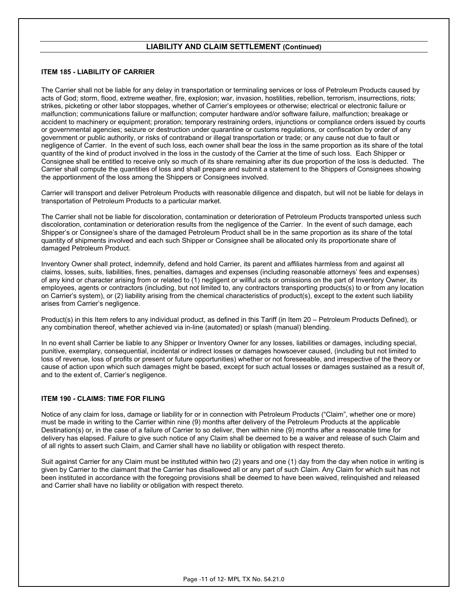## **LIABILITY AND CLAIM SETTLEMENT (Continued)**

## **ITEM 185 - LIABILITY OF CARRIER**

The Carrier shall not be liable for any delay in transportation or terminaling services or loss of Petroleum Products caused by acts of God; storm, flood, extreme weather, fire, explosion; war, invasion, hostilities, rebellion, terrorism, insurrections, riots; strikes, picketing or other labor stoppages, whether of Carrier's employees or otherwise; electrical or electronic failure or malfunction; communications failure or malfunction; computer hardware and/or software failure, malfunction; breakage or accident to machinery or equipment; proration; temporary restraining orders, injunctions or compliance orders issued by courts or governmental agencies; seizure or destruction under quarantine or customs regulations, or confiscation by order of any government or public authority, or risks of contraband or illegal transportation or trade; or any cause not due to fault or negligence of Carrier. In the event of such loss, each owner shall bear the loss in the same proportion as its share of the total quantity of the kind of product involved in the loss in the custody of the Carrier at the time of such loss. Each Shipper or Consignee shall be entitled to receive only so much of its share remaining after its due proportion of the loss is deducted. The Carrier shall compute the quantities of loss and shall prepare and submit a statement to the Shippers of Consignees showing the apportionment of the loss among the Shippers or Consignees involved.

Carrier will transport and deliver Petroleum Products with reasonable diligence and dispatch, but will not be liable for delays in transportation of Petroleum Products to a particular market.

The Carrier shall not be liable for discoloration, contamination or deterioration of Petroleum Products transported unless such discoloration, contamination or deterioration results from the negligence of the Carrier. In the event of such damage, each Shipper's or Consignee's share of the damaged Petroleum Product shall be in the same proportion as its share of the total quantity of shipments involved and each such Shipper or Consignee shall be allocated only its proportionate share of damaged Petroleum Product.

Inventory Owner shall protect, indemnify, defend and hold Carrier, its parent and affiliates harmless from and against all claims, losses, suits, liabilities, fines, penalties, damages and expenses (including reasonable attorneys' fees and expenses) of any kind or character arising from or related to (1) negligent or willful acts or omissions on the part of Inventory Owner, its employees, agents or contractors (including, but not limited to, any contractors transporting products(s) to or from any location on Carrier's system), or (2) liability arising from the chemical characteristics of product(s), except to the extent such liability arises from Carrier's negligence.

Product(s) in this Item refers to any individual product, as defined in this Tariff (in Item 20 – Petroleum Products Defined), or any combination thereof, whether achieved via in-line (automated) or splash (manual) blending.

In no event shall Carrier be liable to any Shipper or Inventory Owner for any losses, liabilities or damages, including special, punitive, exemplary, consequential, incidental or indirect losses or damages howsoever caused, (including but not limited to loss of revenue, loss of profits or present or future opportunities) whether or not foreseeable, and irrespective of the theory or cause of action upon which such damages might be based, except for such actual losses or damages sustained as a result of, and to the extent of, Carrier's negligence.

## **ITEM 190 - CLAIMS: TIME FOR FILING**

Notice of any claim for loss, damage or liability for or in connection with Petroleum Products ("Claim", whether one or more) must be made in writing to the Carrier within nine (9) months after delivery of the Petroleum Products at the applicable Destination(s) or, in the case of a failure of Carrier to so deliver, then within nine (9) months after a reasonable time for delivery has elapsed. Failure to give such notice of any Claim shall be deemed to be a waiver and release of such Claim and of all rights to assert such Claim, and Carrier shall have no liability or obligation with respect thereto.

Suit against Carrier for any Claim must be instituted within two (2) years and one (1) day from the day when notice in writing is given by Carrier to the claimant that the Carrier has disallowed all or any part of such Claim. Any Claim for which suit has not been instituted in accordance with the foregoing provisions shall be deemed to have been waived, relinquished and released and Carrier shall have no liability or obligation with respect thereto.